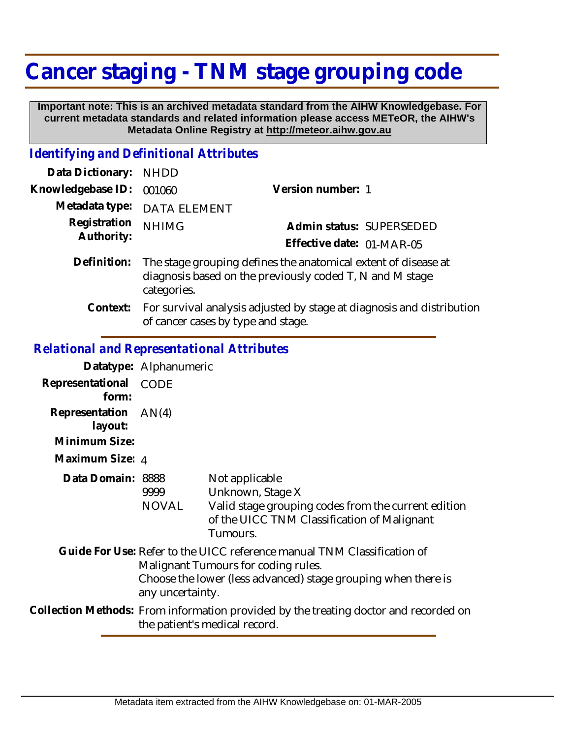## **Cancer staging - TNM stage grouping code**

 **Important note: This is an archived metadata standard from the AIHW Knowledgebase. For current metadata standards and related information please access METeOR, the AIHW's Metadata Online Registry at http://meteor.aihw.gov.au**

## *Identifying and Definitional Attributes*

| Data Dictionary:           | <b>NHDD</b>                                                                                                                               |                                                                       |
|----------------------------|-------------------------------------------------------------------------------------------------------------------------------------------|-----------------------------------------------------------------------|
| Knowledgebase ID:          | 001060                                                                                                                                    | Version number: 1                                                     |
| Metadata type:             | <b>DATA ELEMENT</b>                                                                                                                       |                                                                       |
| Registration<br>Authority: | <b>NHIMG</b>                                                                                                                              | Admin status: SUPERSEDED                                              |
|                            |                                                                                                                                           | Effective date: 01-MAR-05                                             |
| Definition:                | The stage grouping defines the anatomical extent of disease at<br>diagnosis based on the previously coded T, N and M stage<br>categories. |                                                                       |
| Context:                   |                                                                                                                                           | For survival analysis adjusted by stage at diagnosis and distribution |

of cancer cases by type and stage.

## *Relational and Representational Attributes*

|                           | Datatype: Alphanumeric                                                                                                |                                                                                                                                                                                 |
|---------------------------|-----------------------------------------------------------------------------------------------------------------------|---------------------------------------------------------------------------------------------------------------------------------------------------------------------------------|
| Representational<br>form: | CODE                                                                                                                  |                                                                                                                                                                                 |
| Representation<br>layout: | AN(4)                                                                                                                 |                                                                                                                                                                                 |
| Minimum Size:             |                                                                                                                       |                                                                                                                                                                                 |
| Maximum Size: 4           |                                                                                                                       |                                                                                                                                                                                 |
| Data Domain: 8888         | 9999<br>NOVAL                                                                                                         | Not applicable<br>Unknown, Stage X<br>Valid stage grouping codes from the current edition<br>of the UICC TNM Classification of Malignant<br>Tumours.                            |
|                           | any uncertainty.                                                                                                      | Guide For Use: Refer to the UICC reference manual TNM Classification of<br>Malignant Tumours for coding rules.<br>Choose the lower (less advanced) stage grouping when there is |
|                           | Collection Methods: From information provided by the treating doctor and recorded on<br>the patient's medical record. |                                                                                                                                                                                 |